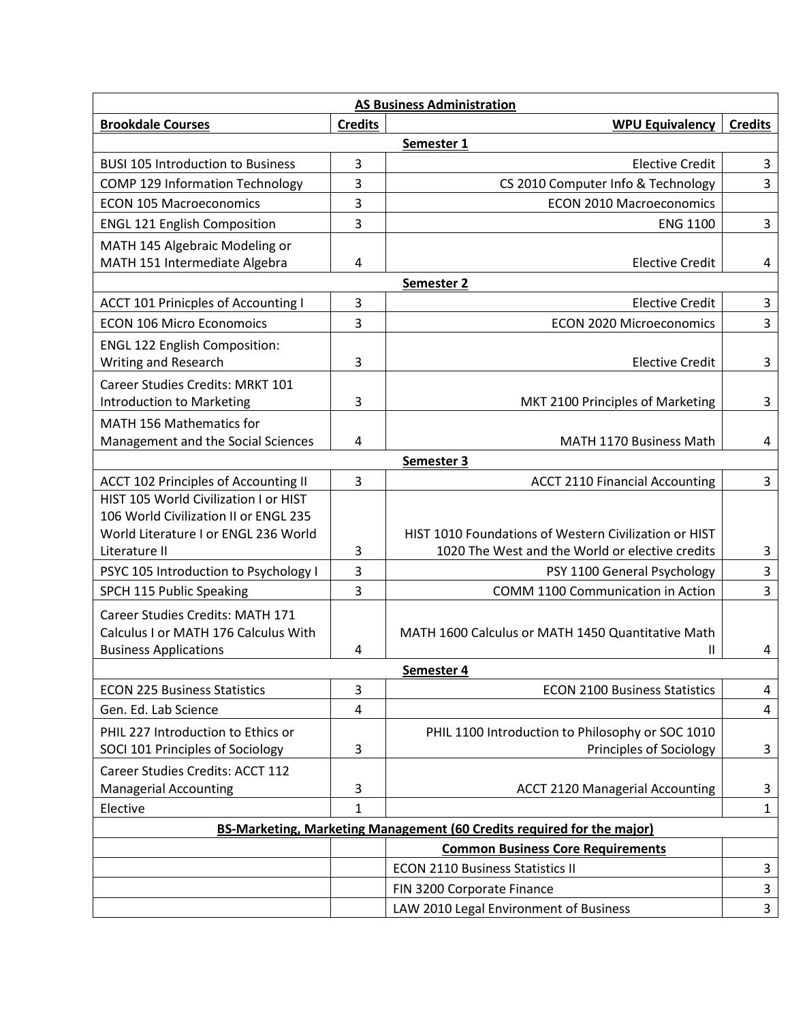| <b>AS Business Administration</b>                                      |                |                                                       |                |  |
|------------------------------------------------------------------------|----------------|-------------------------------------------------------|----------------|--|
| <b>Brookdale Courses</b>                                               | <b>Credits</b> | <b>WPU Equivalency</b>                                | <b>Credits</b> |  |
| Semester 1                                                             |                |                                                       |                |  |
| <b>BUSI 105 Introduction to Business</b>                               | 3              | <b>Elective Credit</b>                                | 3              |  |
| COMP 129 Information Technology                                        | 3              | CS 2010 Computer Info & Technology                    | 3              |  |
| <b>ECON 105 Macroeconomics</b>                                         | $\overline{3}$ | <b>ECON 2010 Macroeconomics</b>                       |                |  |
| <b>ENGL 121 English Composition</b>                                    | 3              | <b>ENG 1100</b>                                       | 3              |  |
| MATH 145 Algebraic Modeling or                                         |                |                                                       |                |  |
| MATH 151 Intermediate Algebra                                          | 4              | <b>Elective Credit</b>                                | 4              |  |
| Semester 2                                                             |                |                                                       |                |  |
| ACCT 101 Prinicples of Accounting I                                    | 3              | <b>Elective Credit</b>                                | 3              |  |
| <b>ECON 106 Micro Economoics</b>                                       | $\overline{3}$ | <b>ECON 2020 Microeconomics</b>                       | 3              |  |
| <b>ENGL 122 English Composition:</b>                                   |                |                                                       |                |  |
| Writing and Research                                                   | 3              | <b>Elective Credit</b>                                | 3              |  |
| <b>Career Studies Credits: MRKT 101</b>                                |                |                                                       |                |  |
| Introduction to Marketing                                              | 3              | MKT 2100 Principles of Marketing                      | 3              |  |
| MATH 156 Mathematics for                                               |                |                                                       |                |  |
| Management and the Social Sciences                                     | 4              | MATH 1170 Business Math                               | 4              |  |
|                                                                        |                | Semester 3                                            |                |  |
| ACCT 102 Principles of Accounting II                                   | 3              | <b>ACCT 2110 Financial Accounting</b>                 | 3              |  |
| HIST 105 World Civilization I or HIST                                  |                |                                                       |                |  |
| 106 World Civilization II or ENGL 235                                  |                |                                                       |                |  |
| World Literature I or ENGL 236 World                                   |                | HIST 1010 Foundations of Western Civilization or HIST |                |  |
| Literature II                                                          | 3              | 1020 The West and the World or elective credits       | 3              |  |
| PSYC 105 Introduction to Psychology I                                  | $\overline{3}$ | PSY 1100 General Psychology                           | 3              |  |
| SPCH 115 Public Speaking                                               | 3              | <b>COMM 1100 Communication in Action</b>              | 3              |  |
| Career Studies Credits: MATH 171                                       |                |                                                       |                |  |
| Calculus I or MATH 176 Calculus With                                   |                | MATH 1600 Calculus or MATH 1450 Quantitative Math     |                |  |
| <b>Business Applications</b>                                           | 4              | Ш                                                     | 4              |  |
| Semester 4                                                             |                |                                                       |                |  |
| <b>ECON 225 Business Statistics</b>                                    | 3              | <b>ECON 2100 Business Statistics</b>                  | 4              |  |
| Gen. Ed. Lab Science                                                   | 4              |                                                       | 4              |  |
| PHIL 227 Introduction to Ethics or                                     |                | PHIL 1100 Introduction to Philosophy or SOC 1010      |                |  |
| SOCI 101 Principles of Sociology                                       | 3              | Principles of Sociology                               | 3              |  |
| Career Studies Credits: ACCT 112                                       |                |                                                       |                |  |
| <b>Managerial Accounting</b>                                           | 3              | <b>ACCT 2120 Managerial Accounting</b>                | 3              |  |
| Elective                                                               | 1              |                                                       | 1              |  |
| BS-Marketing, Marketing Management (60 Credits required for the major) |                |                                                       |                |  |
|                                                                        |                | <b>Common Business Core Requirements</b>              |                |  |
|                                                                        |                | <b>ECON 2110 Business Statistics II</b>               | 3              |  |
|                                                                        |                | FIN 3200 Corporate Finance                            | $\overline{3}$ |  |
|                                                                        |                | LAW 2010 Legal Environment of Business                | 3              |  |